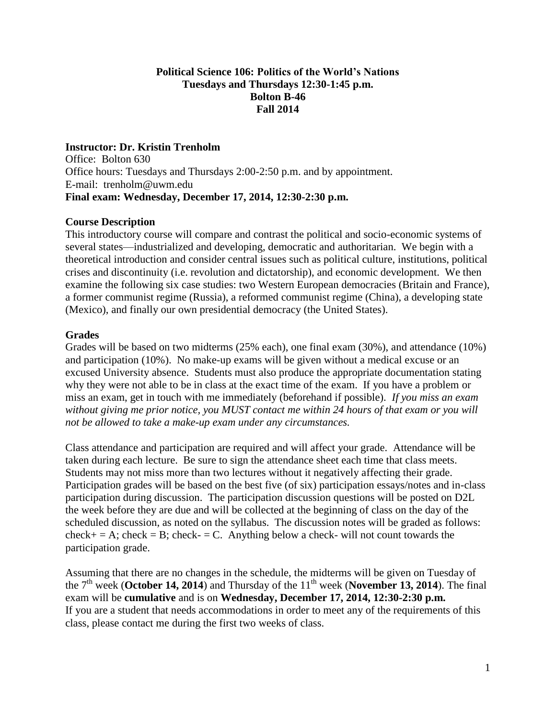## **Political Science 106: Politics of the World's Nations Tuesdays and Thursdays 12:30-1:45 p.m. Bolton B-46 Fall 2014**

# **Instructor: Dr. Kristin Trenholm**

Office: Bolton 630 Office hours: Tuesdays and Thursdays 2:00-2:50 p.m. and by appointment. E-mail: [trenholm@uwm.edu](mailto:trenholm@uwm.edu) **Final exam: Wednesday, December 17, 2014, 12:30-2:30 p.m.**

### **Course Description**

This introductory course will compare and contrast the political and socio-economic systems of several states—industrialized and developing, democratic and authoritarian. We begin with a theoretical introduction and consider central issues such as political culture, institutions, political crises and discontinuity (i.e. revolution and dictatorship), and economic development. We then examine the following six case studies: two Western European democracies (Britain and France), a former communist regime (Russia), a reformed communist regime (China), a developing state (Mexico), and finally our own presidential democracy (the United States).

## **Grades**

Grades will be based on two midterms (25% each), one final exam (30%), and attendance (10%) and participation (10%). No make-up exams will be given without a medical excuse or an excused University absence. Students must also produce the appropriate documentation stating why they were not able to be in class at the exact time of the exam. If you have a problem or miss an exam, get in touch with me immediately (beforehand if possible). *If you miss an exam without giving me prior notice, you MUST contact me within 24 hours of that exam or you will not be allowed to take a make-up exam under any circumstances.*

Class attendance and participation are required and will affect your grade. Attendance will be taken during each lecture. Be sure to sign the attendance sheet each time that class meets. Students may not miss more than two lectures without it negatively affecting their grade. Participation grades will be based on the best five (of six) participation essays/notes and in-class participation during discussion. The participation discussion questions will be posted on D2L the week before they are due and will be collected at the beginning of class on the day of the scheduled discussion, as noted on the syllabus. The discussion notes will be graded as follows:  $check = A$ ; check = B; check- = C. Anything below a check- will not count towards the participation grade.

Assuming that there are no changes in the schedule, the midterms will be given on Tuesday of the 7<sup>th</sup> week (October 14, 2014) and Thursday of the 11<sup>th</sup> week (November 13, 2014). The final exam will be **cumulative** and is on **Wednesday, December 17, 2014, 12:30-2:30 p.m.**  If you are a student that needs accommodations in order to meet any of the requirements of this class, please contact me during the first two weeks of class.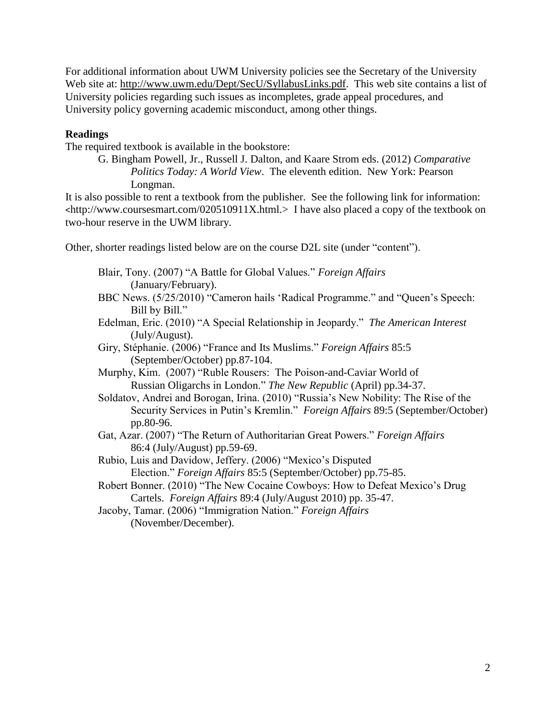For additional information about UWM University policies see the Secretary of the University Web site at: [http://www.uwm.edu/Dept/SecU/SyllabusLinks.pdf.](http://www.uwm.edu/Dept/SecU/SyllabusLinks.pdf) This web site contains a list of University policies regarding such issues as incompletes, grade appeal procedures, and University policy governing academic misconduct, among other things.

## **Readings**

The required textbook is available in the bookstore:

G. Bingham Powell, Jr., Russell J. Dalton, and Kaare Strom eds. (2012) *Comparative Politics Today: A World View*. The eleventh edition. New York: Pearson Longman.

It is also possible to rent a textbook from the publisher. See the following link for information: <[http://www.coursesmart.com/020510911X.](http://www.coursesmart.com/020510911X)html.> I have also placed a copy of the textbook on two-hour reserve in the UWM library.

Other, shorter readings listed below are on the course D2L site (under "content").

- Blair, Tony. (2007) "A Battle for Global Values." *Foreign Affairs* (January/February). BBC News. (5/25/2010) "Cameron hails 'Radical Programme." and "Queen's Speech: Bill by Bill." Edelman, Eric. (2010) "A Special Relationship in Jeopardy." *The American Interest*  (July/August). Giry, Stéphanie. (2006) "France and Its Muslims." *Foreign Affairs* 85:5 (September/October) pp.87-104. Murphy, Kim. (2007) "Ruble Rousers: The Poison-and-Caviar World of Russian Oligarchs in London." *The New Republic* (April) pp.34-37. Soldatov, Andrei and Borogan, Irina. (2010) "Russia's New Nobility: The Rise of the Security Services in Putin's Kremlin." *Foreign Affairs* 89:5 (September/October) pp.80-96. Gat, Azar. (2007) "The Return of Authoritarian Great Powers." *Foreign Affairs* 86:4 (July/August) pp.59-69. Rubio, Luis and Davidow, Jeffery. (2006) "Mexico's Disputed Election." *Foreign Affairs* 85:5 (September/October) pp.75-85.
- Robert Bonner. (2010) "The New Cocaine Cowboys: How to Defeat Mexico's Drug Cartels. *Foreign Affairs* 89:4 (July/August 2010) pp. 35-47.
- Jacoby, Tamar. (2006) "Immigration Nation." *Foreign Affairs* (November/December).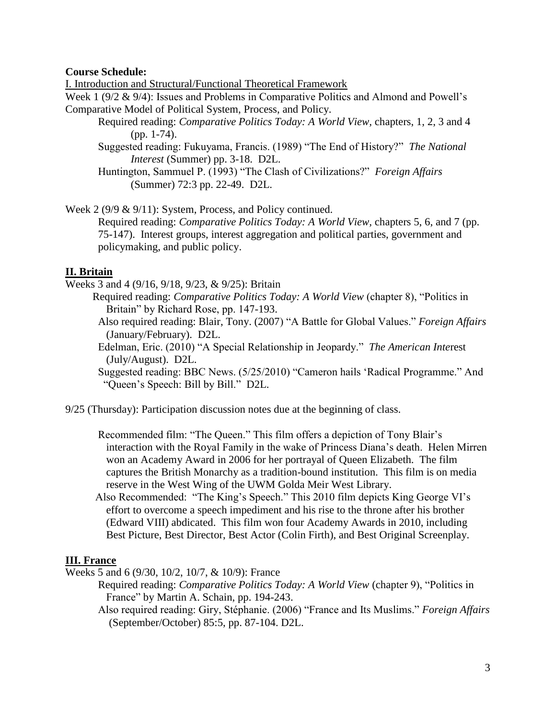### **Course Schedule:**

I. Introduction and Structural/Functional Theoretical Framework

Week 1 (9/2 & 9/4): Issues and Problems in Comparative Politics and Almond and Powell's Comparative Model of Political System, Process, and Policy.

Required reading: *Comparative Politics Today: A World View,* chapters, 1, 2, 3 and 4 (pp. 1-74).

Suggested reading: Fukuyama, Francis. (1989) "The End of History?" *The National Interest* (Summer) pp. 3-18. D2L.

Huntington, Sammuel P. (1993) "The Clash of Civilizations?" *Foreign Affairs*  (Summer) 72:3 pp. 22-49. D2L.

Week 2 (9/9 & 9/11): System, Process, and Policy continued.

Required reading: *Comparative Politics Today: A World View,* chapters 5, 6, and 7 (pp. 75-147). Interest groups, interest aggregation and political parties, government and policymaking, and public policy.

#### **II. Britain**

Weeks 3 and 4 (9/16, 9/18, 9/23, & 9/25): Britain

 Required reading: *Comparative Politics Today: A World View* (chapter 8), "Politics in Britain" by Richard Rose, pp. 147-193.

- Also required reading: Blair, Tony. (2007) "A Battle for Global Values." *Foreign Affairs* (January/February). D2L.
- Edelman, Eric. (2010) "A Special Relationship in Jeopardy." *The American Inte*rest (July/August). D2L.

Suggested reading: BBC News. (5/25/2010) "Cameron hails 'Radical Programme." And "Queen's Speech: Bill by Bill." D2L.

9/25 (Thursday): Participation discussion notes due at the beginning of class.

 Recommended film: "The Queen." This film offers a depiction of Tony Blair's interaction with the Royal Family in the wake of Princess Diana's death. Helen Mirren won an Academy Award in 2006 for her portrayal of Queen Elizabeth. The film captures the British Monarchy as a tradition-bound institution. This film is on media reserve in the West Wing of the UWM Golda Meir West Library.

 Also Recommended: "The King's Speech." This 2010 film depicts King George VI's effort to overcome a speech impediment and his rise to the throne after his brother (Edward VIII) abdicated. This film won four Academy Awards in 2010, including Best Picture, Best Director, Best Actor (Colin Firth), and Best Original Screenplay.

#### **III. France**

Weeks 5 and 6 (9/30, 10/2, 10/7, & 10/9): France

Required reading: *Comparative Politics Today: A World View* (chapter 9), "Politics in France" by Martin A. Schain, pp. 194-243.

 Also required reading: Giry, Stéphanie. (2006) "France and Its Muslims." *Foreign Affairs*  (September/October) 85:5, pp. 87-104. D2L.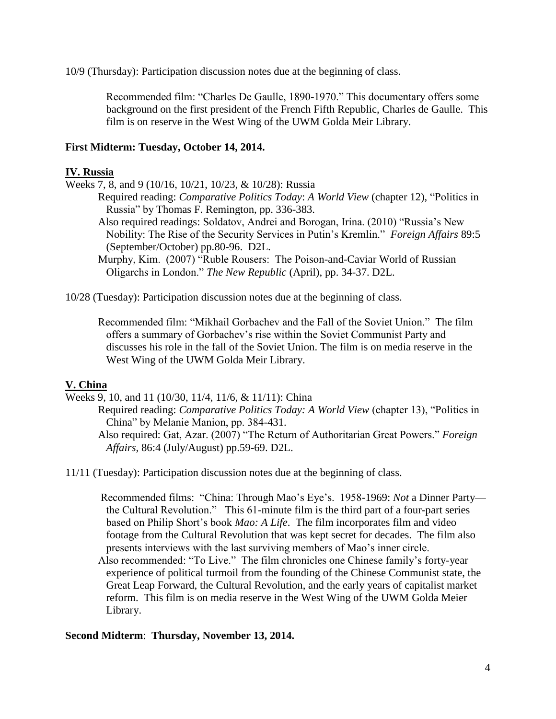10/9 (Thursday): Participation discussion notes due at the beginning of class.

Recommended film: "Charles De Gaulle, 1890-1970." This documentary offers some background on the first president of the French Fifth Republic, Charles de Gaulle. This film is on reserve in the West Wing of the UWM Golda Meir Library.

## **First Midterm: Tuesday, October 14, 2014.**

## **IV. Russia**

Weeks 7, 8, and 9 (10/16, 10/21, 10/23, & 10/28): Russia

Required reading: *Comparative Politics Today*: *A World View* (chapter 12), "Politics in Russia" by Thomas F. Remington, pp. 336-383.

Also required readings: Soldatov, Andrei and Borogan, Irina. (2010) "Russia's New Nobility: The Rise of the Security Services in Putin's Kremlin." *Foreign Affairs* 89:5 (September/October) pp.80-96. D2L.

Murphy, Kim. (2007) "Ruble Rousers: The Poison-and-Caviar World of Russian Oligarchs in London." *The New Republic* (April), pp. 34-37. D2L.

10/28 (Tuesday): Participation discussion notes due at the beginning of class.

 Recommended film: "Mikhail Gorbachev and the Fall of the Soviet Union." The film offers a summary of Gorbachev's rise within the Soviet Communist Party and discusses his role in the fall of the Soviet Union. The film is on media reserve in the West Wing of the UWM Golda Meir Library.

### **V. China**

Weeks 9, 10, and 11 (10/30, 11/4, 11/6, & 11/11): China

Required reading: *Comparative Politics Today: A World View* (chapter 13), "Politics in China" by Melanie Manion, pp. 384-431.

Also required: Gat, Azar. (2007) "The Return of Authoritarian Great Powers." *Foreign Affairs,* 86:4 (July/August) pp.59-69. D2L.

11/11 (Tuesday): Participation discussion notes due at the beginning of class.

 Recommended films: "China: Through Mao's Eye's. 1958-1969: *Not* a Dinner Party the Cultural Revolution." This 61-minute film is the third part of a four-part series based on Philip Short's book *Mao: A Life*. The film incorporates film and video footage from the Cultural Revolution that was kept secret for decades. The film also presents interviews with the last surviving members of Mao's inner circle.

 Also recommended: "To Live." The film chronicles one Chinese family's forty-year experience of political turmoil from the founding of the Chinese Communist state, the Great Leap Forward, the Cultural Revolution, and the early years of capitalist market reform. This film is on media reserve in the West Wing of the UWM Golda Meier Library.

#### **Second Midterm**: **Thursday, November 13, 2014.**